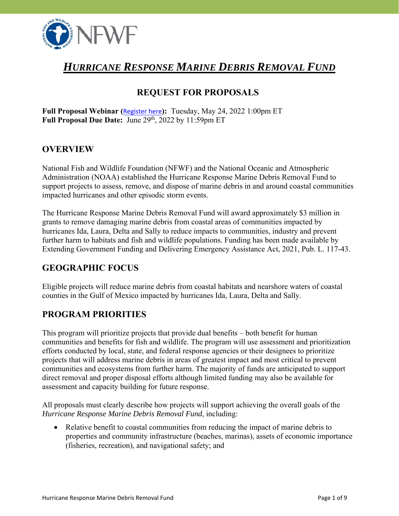

# *HURRICANE RESPONSE MARINE DEBRIS REMOVAL FUND*

# **REQUEST FOR PROPOSALS**

**Full Proposal Webinar (**[Register here](https://attendee.gotowebinar.com/register/5713619193022080523)**):** Tuesday, May 24, 2022 1:00pm ET Full Proposal Due Date: June 29<sup>th</sup>, 2022 by 11:59pm ET

### **OVERVIEW**

National Fish and Wildlife Foundation (NFWF) and the National Oceanic and Atmospheric Administration (NOAA) established the Hurricane Response Marine Debris Removal Fund to support projects to assess, remove, and dispose of marine debris in and around coastal communities impacted hurricanes and other episodic storm events.

The Hurricane Response Marine Debris Removal Fund will award approximately \$3 million in grants to remove damaging marine debris from coastal areas of communities impacted by hurricanes Ida, Laura, Delta and Sally to reduce impacts to communities, industry and prevent further harm to habitats and fish and wildlife populations. Funding has been made available by Extending Government Funding and Delivering Emergency Assistance Act, 2021, Pub. L. 117-43.

### **GEOGRAPHIC FOCUS**

Eligible projects will reduce marine debris from coastal habitats and nearshore waters of coastal counties in the Gulf of Mexico impacted by hurricanes Ida, Laura, Delta and Sally.

### **PROGRAM PRIORITIES**

This program will prioritize projects that provide dual benefits – both benefit for human communities and benefits for fish and wildlife. The program will use assessment and prioritization efforts conducted by local, state, and federal response agencies or their designees to prioritize projects that will address marine debris in areas of greatest impact and most critical to prevent communities and ecosystems from further harm. The majority of funds are anticipated to support direct removal and proper disposal efforts although limited funding may also be available for assessment and capacity building for future response.

All proposals must clearly describe how projects will support achieving the overall goals of the *Hurricane Response Marine Debris Removal Fund*, including:

 Relative benefit to coastal communities from reducing the impact of marine debris to properties and community infrastructure (beaches, marinas), assets of economic importance (fisheries, recreation), and navigational safety; and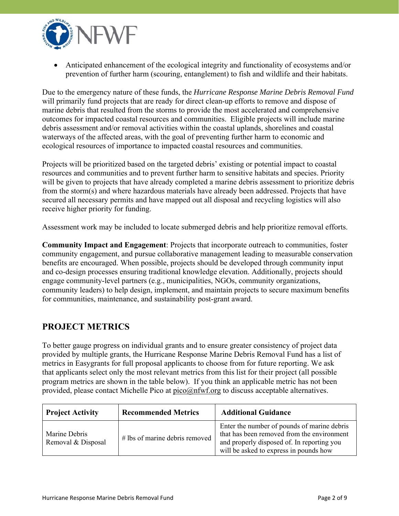

 Anticipated enhancement of the ecological integrity and functionality of ecosystems and/or prevention of further harm (scouring, entanglement) to fish and wildlife and their habitats.

Due to the emergency nature of these funds, the *Hurricane Response Marine Debris Removal Fund*  will primarily fund projects that are ready for direct clean-up efforts to remove and dispose of marine debris that resulted from the storms to provide the most accelerated and comprehensive outcomes for impacted coastal resources and communities. Eligible projects will include marine debris assessment and/or removal activities within the coastal uplands, shorelines and coastal waterways of the affected areas, with the goal of preventing further harm to economic and ecological resources of importance to impacted coastal resources and communities.

Projects will be prioritized based on the targeted debris' existing or potential impact to coastal resources and communities and to prevent further harm to sensitive habitats and species. Priority will be given to projects that have already completed a marine debris assessment to prioritize debris from the storm(s) and where hazardous materials have already been addressed. Projects that have secured all necessary permits and have mapped out all disposal and recycling logistics will also receive higher priority for funding.

Assessment work may be included to locate submerged debris and help prioritize removal efforts.

**Community Impact and Engagement**: Projects that incorporate outreach to communities, foster community engagement, and pursue collaborative management leading to measurable conservation benefits are encouraged. When possible, projects should be developed through community input and co-design processes ensuring traditional knowledge elevation. Additionally, projects should engage community-level partners (e.g., municipalities, NGOs, community organizations, community leaders) to help design, implement, and maintain projects to secure maximum benefits for communities, maintenance, and sustainability post-grant award.

# **PROJECT METRICS**

To better gauge progress on individual grants and to ensure greater consistency of project data provided by multiple grants, the Hurricane Response Marine Debris Removal Fund has a list of metrics in Easygrants for full proposal applicants to choose from for future reporting. We ask that applicants select only the most relevant metrics from this list for their project (all possible program metrics are shown in the table below). If you think an applicable metric has not been provided, please contact Michelle Pico at [pico@nfwf.org](mailto:pico@nfwf.org) to discuss acceptable alternatives.

| <b>Project Activity</b>             | <b>Recommended Metrics</b>       | <b>Additional Guidance</b>                                                                                                                                                        |
|-------------------------------------|----------------------------------|-----------------------------------------------------------------------------------------------------------------------------------------------------------------------------------|
| Marine Debris<br>Removal & Disposal | $#$ lbs of marine debris removed | Enter the number of pounds of marine debris<br>that has been removed from the environment<br>and properly disposed of. In reporting you<br>will be asked to express in pounds how |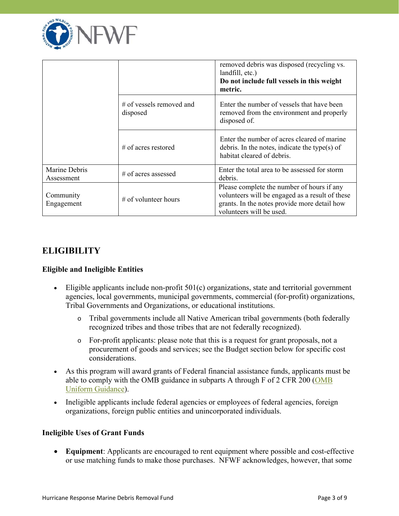

|                             |                                      | removed debris was disposed (recycling vs.<br>landfill, etc.)<br>Do not include full vessels in this weight<br>metric.                                                    |
|-----------------------------|--------------------------------------|---------------------------------------------------------------------------------------------------------------------------------------------------------------------------|
|                             | # of vessels removed and<br>disposed | Enter the number of vessels that have been<br>removed from the environment and properly<br>disposed of.                                                                   |
|                             | $\#$ of acres restored               | Enter the number of acres cleared of marine<br>debris. In the notes, indicate the type(s) of<br>habitat cleared of debris.                                                |
| Marine Debris<br>Assessment | # of acres assessed                  | Enter the total area to be assessed for storm<br>debris.                                                                                                                  |
| Community<br>Engagement     | $\#$ of volunteer hours              | Please complete the number of hours if any<br>volunteers will be engaged as a result of these<br>grants. In the notes provide more detail how<br>volunteers will be used. |

### **ELIGIBILITY**

#### **Eligible and Ineligible Entities**

- Eligible applicants include non-profit 501(c) organizations, state and territorial government agencies, local governments, municipal governments, commercial (for-profit) organizations, Tribal Governments and Organizations, or educational institutions.
	- o Tribal governments include all Native American tribal governments (both federally recognized tribes and those tribes that are not federally recognized).
	- o For-profit applicants: please note that this is a request for grant proposals, not a procurement of goods and services; see the Budget section below for specific cost considerations.
- As this program will award grants of Federal financial assistance funds, applicants must be able to comply with the OMB guidance in subparts A through F of 2 CFR 200 (OMB Uniform Guidance).
- Ineligible applicants include federal agencies or employees of federal agencies, foreign organizations, foreign public entities and unincorporated individuals.

#### **Ineligible Uses of Grant Funds**

 **Equipment**: Applicants are encouraged to rent equipment where possible and cost-effective or use matching funds to make those purchases. NFWF acknowledges, however, that some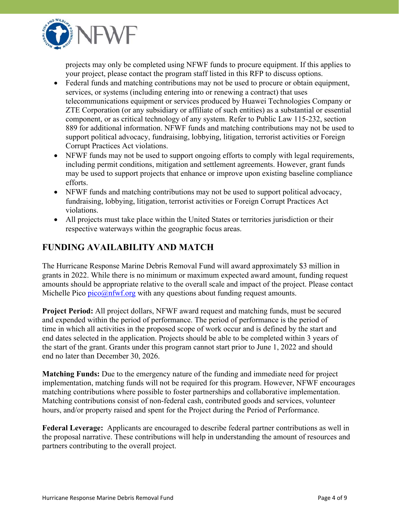

projects may only be completed using NFWF funds to procure equipment. If this applies to your project, please contact the program staff listed in this RFP to discuss options.

- Federal funds and matching contributions may not be used to procure or obtain equipment, services, or systems (including entering into or renewing a contract) that uses telecommunications equipment or services produced by Huawei Technologies Company or ZTE Corporation (or any subsidiary or affiliate of such entities) as a substantial or essential component, or as critical technology of any system. Refer to Public Law 115-232, section 889 for additional information. NFWF funds and matching contributions may not be used to support political advocacy, fundraising, lobbying, litigation, terrorist activities or Foreign Corrupt Practices Act violations.
- NFWF funds may not be used to support ongoing efforts to comply with legal requirements, including permit conditions, mitigation and settlement agreements. However, grant funds may be used to support projects that enhance or improve upon existing baseline compliance efforts.
- NFWF funds and matching contributions may not be used to support political advocacy, fundraising, lobbying, litigation, terrorist activities or Foreign Corrupt Practices Act violations.
- respective waterways within the geographic focus areas. All projects must take place within the United States or territories jurisdiction or their

# **FUNDING AVAILABILITY AND MATCH**

The Hurricane Response Marine Debris Removal Fund will award approximately \$3 million in grants in 2022. While there is no minimum or maximum expected award amount, funding request amounts should be appropriate relative to the overall scale and impact of the project. Please contact Michelle Pico  $\frac{p}{\cos(\theta)}$  m  $\frac{p}{\cos(\theta)}$  with any questions about funding request amounts.

**Project Period:** All project dollars, NFWF award request and matching funds, must be secured and expended within the period of performance. The period of performance is the period of time in which all activities in the proposed scope of work occur and is defined by the start and end dates selected in the application. Projects should be able to be completed within 3 years of the start of the grant. Grants under this program cannot start prior to June 1, 2022 and should end no later than December 30, 2026.

**Matching Funds:** Due to the emergency nature of the funding and immediate need for project implementation, matching funds will not be required for this program. However, NFWF encourages matching contributions where possible to foster partnerships and collaborative implementation. Matching contributions consist of non-federal cash, contributed goods and services, volunteer hours, and/or property raised and spent for the Project during the Period of Performance.

**Federal Leverage:** Applicants are encouraged to describe federal partner contributions as well in the proposal narrative. These contributions will help in understanding the amount of resources and partners contributing to the overall project.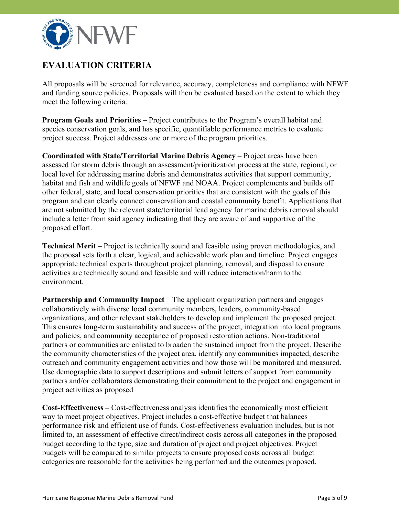

# **EVALUATION CRITERIA**

All proposals will be screened for relevance, accuracy, completeness and compliance with NFWF and funding source policies. Proposals will then be evaluated based on the extent to which they meet the following criteria.

**Program Goals and Priorities –** Project contributes to the Program's overall habitat and species conservation goals, and has specific, quantifiable performance metrics to evaluate project success. Project addresses one or more of the program priorities.

**Coordinated with State/Territorial Marine Debris Agency** – Project areas have been assessed for storm debris through an assessment/prioritization process at the state, regional, or local level for addressing marine debris and demonstrates activities that support community, habitat and fish and wildlife goals of NFWF and NOAA. Project complements and builds off other federal, state, and local conservation priorities that are consistent with the goals of this program and can clearly connect conservation and coastal community benefit. Applications that are not submitted by the relevant state/territorial lead agency for marine debris removal should include a letter from said agency indicating that they are aware of and supportive of the proposed effort.

**Technical Merit** – Project is technically sound and feasible using proven methodologies, and the proposal sets forth a clear, logical, and achievable work plan and timeline. Project engages appropriate technical experts throughout project planning, removal, and disposal to ensure activities are technically sound and feasible and will reduce interaction/harm to the environment.

**Partnership and Community Impact** – The applicant organization partners and engages collaboratively with diverse local community members, leaders, community-based organizations, and other relevant stakeholders to develop and implement the proposed project. This ensures long-term sustainability and success of the project, integration into local programs and policies, and community acceptance of proposed restoration actions. Non-traditional partners or communities are enlisted to broaden the sustained impact from the project. Describe the community characteristics of the project area, identify any communities impacted, describe outreach and community engagement activities and how those will be monitored and measured. Use demographic data to support descriptions and submit letters of support from community partners and/or collaborators demonstrating their commitment to the project and engagement in project activities as proposed

**Cost-Effectiveness –** Cost-effectiveness analysis identifies the economically most efficient way to meet project objectives. Project includes a cost-effective budget that balances performance risk and efficient use of funds. Cost-effectiveness evaluation includes, but is not limited to, an assessment of effective direct/indirect costs across all categories in the proposed budget according to the type, size and duration of project and project objectives. Project budgets will be compared to similar projects to ensure proposed costs across all budget categories are reasonable for the activities being performed and the outcomes proposed.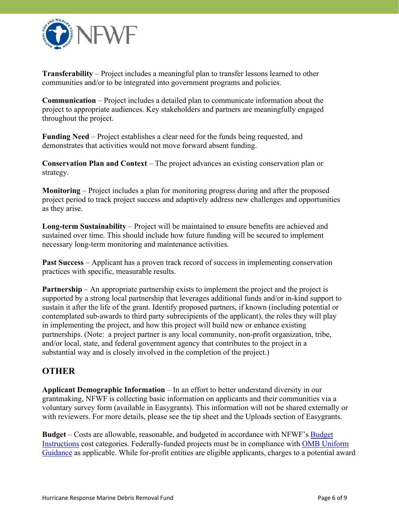

**Transferability** – Project includes a meaningful plan to transfer lessons learned to other communities and/or to be integrated into government programs and policies.

**Communication** – Project includes a detailed plan to communicate information about the project to appropriate audiences. Key stakeholders and partners are meaningfully engaged throughout the project.

**Funding Need** – Project establishes a clear need for the funds being requested, and demonstrates that activities would not move forward absent funding.

**Conservation Plan and Context** – The project advances an existing conservation plan or strategy.

**Monitoring** – Project includes a plan for monitoring progress during and after the proposed project period to track project success and adaptively address new challenges and opportunities as they arise.

**Long-term Sustainability** – Project will be maintained to ensure benefits are achieved and sustained over time. This should include how future funding will be secured to implement necessary long-term monitoring and maintenance activities.

**Past Success** – Applicant has a proven track record of success in implementing conservation practices with specific, measurable results.

**Partnership** – An appropriate partnership exists to implement the project and the project is supported by a strong local partnership that leverages additional funds and/or in-kind support to sustain it after the life of the grant. Identify proposed partners, if known (including potential or contemplated sub-awards to third party subrecipients of the applicant), the roles they will play in implementing the project, and how this project will build new or enhance existing partnerships. (Note: a project partner is any local community, non-profit organization, tribe, and/or local, state, and federal government agency that contributes to the project in a substantial way and is closely involved in the completion of the project.)

### **OTHER**

**Applicant Demographic Information** – In an effort to better understand diversity in our grantmaking, NFWF is collecting basic information on applicants and their communities via a voluntary survey form (available in Easygrants). This information will not be shared externally or with reviewers. For more details, please see the tip sheet and the Uploads section of Easygrants.

**Budget** – Costs are allowable, reasonable, and budgeted in accordance with NFWF's Budget [Instructions cost categories. Federally-funded projects must be in compliance with OMB Un](https://www.nfwf.org/apply-grant/application-information/budget-instructions)[iform](https://www.ecfr.gov/current/title-2/subtitle-A/chapter-II/part-200) Guidance as applicable. While for-profit entities are eligible applicants, charges to a potential award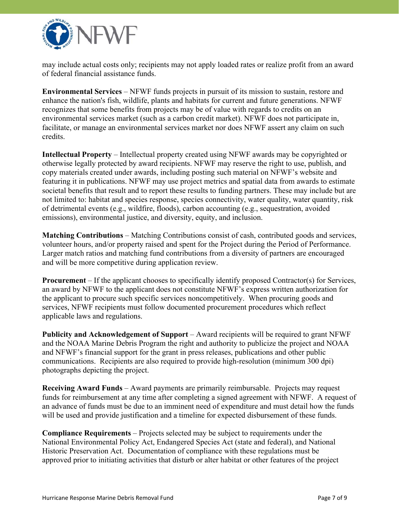

may include actual costs only; recipients may not apply loaded rates or realize profit from an award of federal financial assistance funds.

**Environmental Services** – NFWF funds projects in pursuit of its mission to sustain, restore and enhance the nation's fish, wildlife, plants and habitats for current and future generations. NFWF recognizes that some benefits from projects may be of value with regards to credits on an environmental services market (such as a carbon credit market). NFWF does not participate in, facilitate, or manage an environmental services market nor does NFWF assert any claim on such credits.

**Intellectual Property** – Intellectual property created using NFWF awards may be copyrighted or otherwise legally protected by award recipients. NFWF may reserve the right to use, publish, and copy materials created under awards, including posting such material on NFWF's website and featuring it in publications. NFWF may use project metrics and spatial data from awards to estimate societal benefits that result and to report these results to funding partners. These may include but are not limited to: habitat and species response, species connectivity, water quality, water quantity, risk of detrimental events (e.g., wildfire, floods), carbon accounting (e.g., sequestration, avoided emissions), environmental justice, and diversity, equity, and inclusion.

**Matching Contributions** – Matching Contributions consist of cash, contributed goods and services, volunteer hours, and/or property raised and spent for the Project during the Period of Performance. Larger match ratios and matching fund contributions from a diversity of partners are encouraged and will be more competitive during application review.

**Procurement** – If the applicant chooses to specifically identify proposed Contractor(s) for Services, an award by NFWF to the applicant does not constitute NFWF's express written authorization for the applicant to procure such specific services noncompetitively. When procuring goods and services, NFWF recipients must follow documented procurement procedures which reflect applicable laws and regulations.

**Publicity and Acknowledgement of Support** – Award recipients will be required to grant NFWF and the NOAA Marine Debris Program the right and authority to publicize the project and NOAA and NFWF's financial support for the grant in press releases, publications and other public communications. Recipients are also required to provide high-resolution (minimum 300 dpi) photographs depicting the project.

**Receiving Award Funds** – Award payments are primarily reimbursable. Projects may request funds for reimbursement at any time after completing a signed agreement with NFWF. A request of an advance of funds must be due to an imminent need of expenditure and must detail how the funds will be used and provide justification and a timeline for expected disbursement of these funds.

**Compliance Requirements** – Projects selected may be subject to requirements under the National Environmental Policy Act, Endangered Species Act (state and federal), and National Historic Preservation Act. Documentation of compliance with these regulations must be approved prior to initiating activities that disturb or alter habitat or other features of the project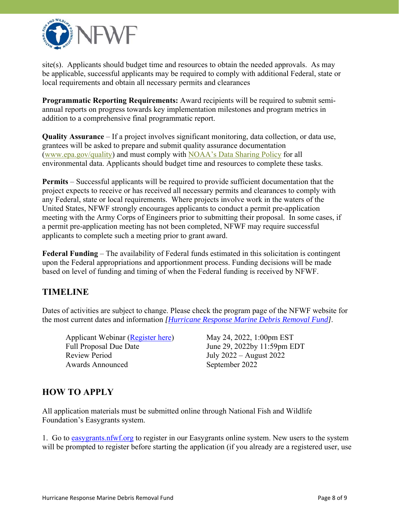

site(s). Applicants should budget time and resources to obtain the needed approvals. As may be applicable, successful applicants may be required to comply with additional Federal, state or local requirements and obtain all necessary permits and clearances

 addition to a comprehensive final programmatic report. **Programmatic Reporting Requirements:** Award recipients will be required to submit semiannual reports on progress towards key implementation milestones and program metrics in

**Quality Assurance** – If a project involves significant monitoring, data collection, or data use, grantees will be asked to prepare and submit quality assurance documentation (<www.epa.gov/quality>) and must comply with [NOAA's Data Sharing Policy](https://nosc.noaa.gov/EDMC/documents/Data_Sharing_Directive_v3.0.pdf) for all environmental data. Applicants should budget time and resources to complete these tasks.

**Permits** – Successful applicants will be required to provide sufficient documentation that the project expects to receive or has received all necessary permits and clearances to comply with any Federal, state or local requirements. Where projects involve work in the waters of the United States, NFWF strongly encourages applicants to conduct a permit pre-application meeting with the Army Corps of Engineers prior to submitting their proposal. In some cases, if a permit pre-application meeting has not been completed, NFWF may require successful applicants to complete such a meeting prior to grant award.

**Federal Funding** – The availability of Federal funds estimated in this solicitation is contingent upon the Federal appropriations and apportionment process. Funding decisions will be made based on level of funding and timing of when the Federal funding is received by NFWF.

# **TIMELINE**

Dates of activities are subject to change. Please check the program page of the NFWF website for the most current dates and information *[\[Hurricane Response Marine Debris Removal Fund\]](https://www.nfwf.org/programs/hurricane-response-marine-debris-removal-fund#:~:text=The%20Hurricane%20Response%20Marine%20Debris,debris%20caused%20by%20severe%20storms.)*.

 Review Period Applicant Webinar ([Register here\)](https://attendee.gotowebinar.com/register/5713619193022080523) Full Proposal Due Date Awards Announced

May 24, 2022, 1:00pm EST June 29, 2022by 11:59pm EDT July 2022 – August 2022 September 2022

# **HOW TO APPLY**

All application materials must be submitted online through National Fish and Wildlife Foundation's Easygrants system.

1. Go to <easygrants.nfwf.org> to register in our Easygrants online system. New users to the system will be prompted to register before starting the application (if you already are a registered user, use